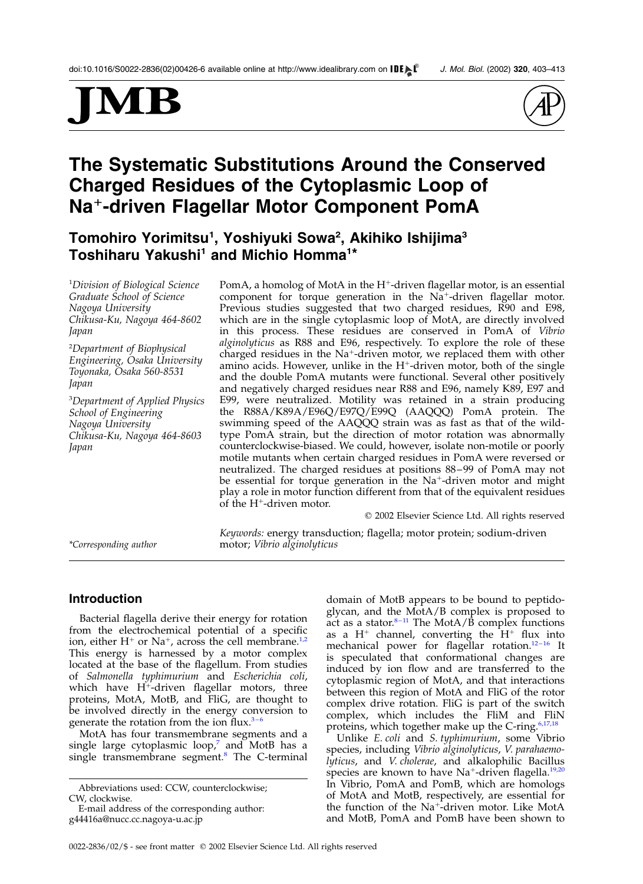# MB



# The Systematic Substitutions Around the Conserved Charged Residues of the Cytoplasmic Loop of Na<sup>+</sup>-driven Flagellar Motor Component PomA

Tomohiro Yorimitsu $^{\rm 1}$ , Yoshiyuki Sowa $^{\rm 2}$ , Akihiko Ishijima $^{\rm 3}$ Toshiharu Yakushi<sup>1</sup> and Michio Homma<sup>1\*</sup>

1 Division of Biological Science Graduate School of Science Nagoya University Chikusa-Ku, Nagoya 464-8602 Japan

2 Department of Biophysical Engineering, Osaka University Toyonaka, Osaka 560-8531 Japan

3 Department of Applied Physics School of Engineering Nagoya University Chikusa-Ku, Nagoya 464-8603 Japan

PomA, a homolog of MotA in the H<sup>+</sup>-driven flagellar motor, is an essential component for torque generation in the  $Na<sup>+</sup>$ -driven flagellar motor. Previous studies suggested that two charged residues, R90 and E98, which are in the single cytoplasmic loop of MotA, are directly involved in this process. These residues are conserved in PomA of Vibrio alginolyticus as R88 and E96, respectively. To explore the role of these charged residues in the  $Na^+$ -driven motor, we replaced them with other amino acids. However, unlike in the  $H^+$ -driven motor, both of the single and the double PomA mutants were functional. Several other positively and negatively charged residues near R88 and E96, namely K89, E97 and E99, were neutralized. Motility was retained in a strain producing the R88A/K89A/E96Q/E97Q/E99Q (AAQQQ) PomA protein. The swimming speed of the AAQQQ strain was as fast as that of the wildtype PomA strain, but the direction of motor rotation was abnormally counterclockwise-biased. We could, however, isolate non-motile or poorly motile mutants when certain charged residues in PomA were reversed or neutralized. The charged residues at positions 88–99 of PomA may not be essential for torque generation in the Na<sup>+</sup>-driven motor and might play a role in motor function different from that of the equivalent residues of the  $H^+$ -driven motor.

 $©$  2002 Elsevier Science Ltd. All rights reserved

Keywords: energy transduction; flagella; motor protein; sodium-driven \*Corresponding author motor; Vibrio alginolyticus

# Introduction

Bacterial flagella derive their energy for rotation from the electrochemical potential of a specific ion, either  $H^+$  or Na<sup>+</sup>, across the cell membrane.<sup>[1,2](#page-8-0)</sup> This energy is harnessed by a motor complex located at the base of the flagellum. From studies of Salmonella typhimurium and Escherichia coli, which have  $H^+$ -driven flagellar motors, three proteins, MotA, MotB, and FliG, are thought to be involved directly in the energy conversion to generate the rotation from the ion flux. $3-6$ 

MotA has four transmembrane segments and a single large cytoplasmic loop, $^7$  $^7$  and MotB has a single transmembrane segment.<sup>[8](#page-8-0)</sup> The C-terminal domain of MotB appears to be bound to peptidoglycan, and the MotA/B complex is proposed to act as a stator.<sup>8-11</sup> The MotA/ $\hat{B}$  complex functions as a  $H^+$  channel, converting the  $H^+$  flux into mechanical power for flagellar rotation.<sup>12-16</sup> It is speculated that conformational changes are induced by ion flow and are transferred to the cytoplasmic region of MotA, and that interactions between this region of MotA and FliG of the rotor complex drive rotation. FliG is part of the switch complex, which includes the FliM and FliN proteins, which together make up the C-ring.<sup>[6,17,18](#page-8-0)</sup>

Unlike E. coli and S. typhimurium, some Vibrio species, including Vibrio alginolyticus, V. parahaemolyticus, and V. cholerae, and alkalophilic Bacillus species are known to have  $Na^+$ -driven flagella.<sup>[19,20](#page-9-0)</sup> In Vibrio, PomA and PomB, which are homologs of MotA and MotB, respectively, are essential for the function of the  $Na^+$ -driven motor. Like MotA and MotB, PomA and PomB have been shown to

Abbreviations used: CCW, counterclockwise; CW, clockwise.

E-mail address of the corresponding author: g44416a@nucc.cc.nagoya-u.ac.jp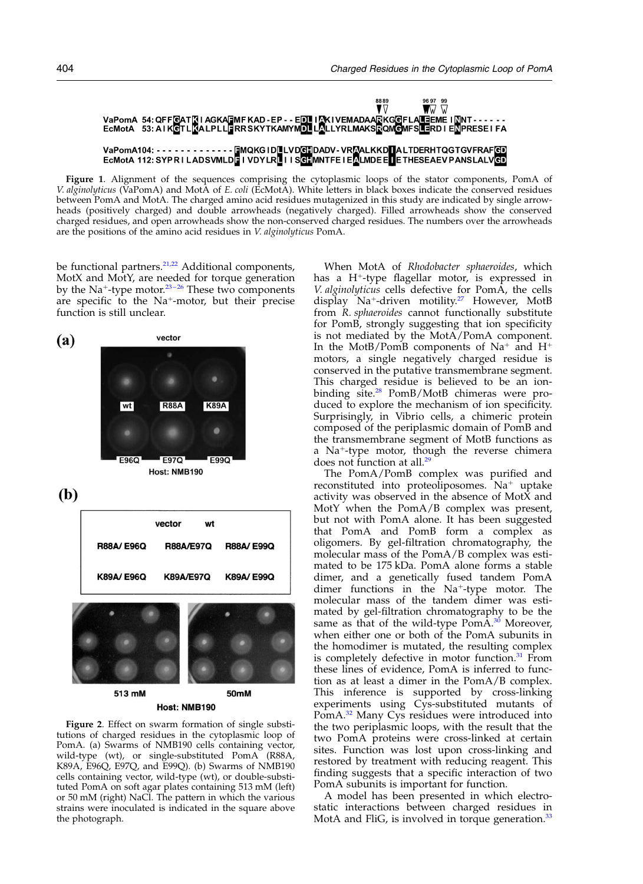<span id="page-1-0"></span>

Figure 1. Alignment of the sequences comprising the cytoplasmic loops of the stator components, PomA of V. alginolyticus (VaPomA) and MotA of E. coli (EcMotA). White letters in black boxes indicate the conserved residues between PomA and MotA. The charged amino acid residues mutagenized in this study are indicated by single arrowheads (positively charged) and double arrowheads (negatively charged). Filled arrowheads show the conserved charged residues, and open arrowheads show the non-conserved charged residues. The numbers over the arrowheads are the positions of the amino acid residues in V. alginolyticus PomA.

be functional partners. $21,22$  Additional components, MotX and MotY, are needed for torque generation by the Na<sup>+</sup>-type motor.<sup>23-26</sup> These two components are specific to the Na<sup>+</sup>-motor, but their precise function is still unclear.



Figure 2. Effect on swarm formation of single substitutions of charged residues in the cytoplasmic loop of PomA. (a) Swarms of NMB190 cells containing vector, wild-type (wt), or single-substituted PomA (R88A, K89A, E96Q, E97Q, and E99Q). (b) Swarms of NMB190 cells containing vector, wild-type (wt), or double-substituted PomA on soft agar plates containing 513 mM (left) or 50 mM (right) NaCl. The pattern in which the various strains were inoculated is indicated in the square above the photograph.

When MotA of Rhodobacter sphaeroides, which has a  $H^+$ -type flagellar motor, is expressed in V. alginolyticus cells defective for PomA, the cells display  $Na^+$ -driven motility.<sup>[27](#page-9-0)</sup> However, MotB from R. sphaeroides cannot functionally substitute for PomB, strongly suggesting that ion specificity is not mediated by the MotA/PomA component. In the MotB/PomB components of  $Na^+$  and  $H^+$ motors, a single negatively charged residue is conserved in the putative transmembrane segment. This charged residue is believed to be an ionbinding site.[28](#page-9-0) PomB/MotB chimeras were produced to explore the mechanism of ion specificity. Surprisingly, in Vibrio cells, a chimeric protein composed of the periplasmic domain of PomB and the transmembrane segment of MotB functions as a  $Na^{+}$ -type motor, though the reverse chimera does not function at all.<sup>29</sup>

The PomA/PomB complex was purified and reconstituted into proteoliposomes.  $Na<sup>+</sup>$  uptake activity was observed in the absence of MotX and MotY when the PomA/B complex was present, but not with PomA alone. It has been suggested that PomA and PomB form a complex as oligomers. By gel-filtration chromatography, the molecular mass of the PomA/B complex was estimated to be 175 kDa. PomA alone forms a stable dimer, and a genetically fused tandem PomA dimer functions in the Na<sup>+</sup>-type motor. The molecular mass of the tandem dimer was estimated by gel-filtration chromatography to be the same as that of the wild-type  $PomA<sup>30</sup>$  Moreover, when either one or both of the PomA subunits in the homodimer is mutated, the resulting complex is completely defective in motor function.<sup>[31](#page-9-0)</sup> From these lines of evidence, PomA is inferred to function as at least a dimer in the PomA/B complex. This inference is supported by cross-linking experiments using Cys-substituted mutants of PomA.<sup>32</sup> Many Cys residues were introduced into the two periplasmic loops, with the result that the two PomA proteins were cross-linked at certain sites. Function was lost upon cross-linking and restored by treatment with reducing reagent. This finding suggests that a specific interaction of two PomA subunits is important for function.

A model has been presented in which electrostatic interactions between charged residues in MotA and FliG, is involved in torque generation.<sup>[33](#page-9-0)</sup>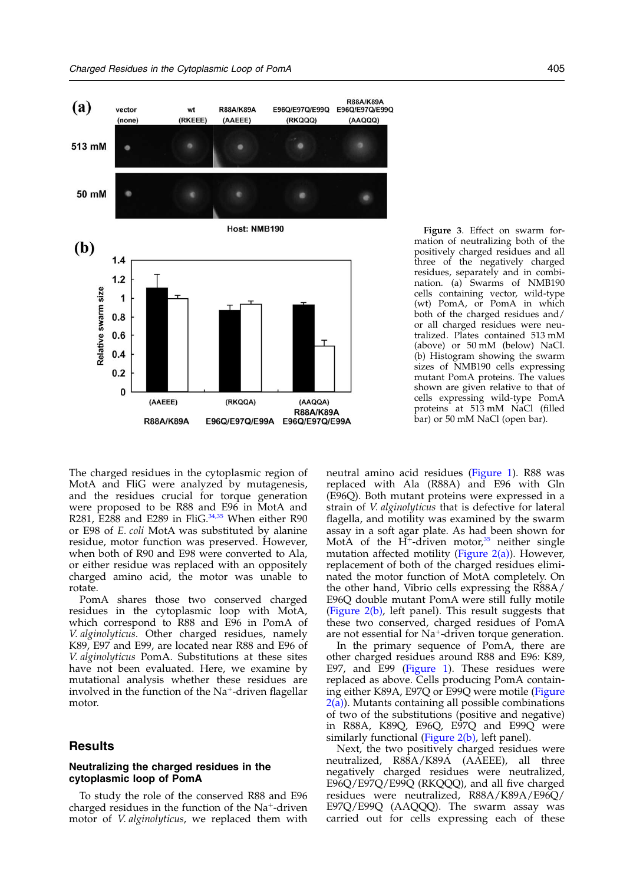<span id="page-2-0"></span>

Figure 3. Effect on swarm formation of neutralizing both of the positively charged residues and all three of the negatively charged residues, separately and in combination. (a) Swarms of NMB190 cells containing vector, wild-type (wt) PomA, or PomA in which both of the charged residues and/ or all charged residues were neutralized. Plates contained 513 mM (above) or 50 mM (below) NaCl. (b) Histogram showing the swarm sizes of NMB190 cells expressing mutant PomA proteins. The values shown are given relative to that of cells expressing wild-type PomA proteins at 513 mM NaCl (filled bar) or 50 mM NaCl (open bar).

The charged residues in the cytoplasmic region of MotA and FliG were analyzed by mutagenesis, and the residues crucial for torque generation were proposed to be R88 and E96 in MotA and R281,  $E288$  and E289 in FliG.<sup>[34,35](#page-9-0)</sup> When either R90 or E98 of E. coli MotA was substituted by alanine residue, motor function was preserved. However, when both of R90 and E98 were converted to Ala, or either residue was replaced with an oppositely charged amino acid, the motor was unable to rotate.

PomA shares those two conserved charged residues in the cytoplasmic loop with MotA, which correspond to R88 and E96 in PomA of V. alginolyticus. Other charged residues, namely K89, E97 and E99, are located near R88 and E96 of V. alginolyticus PomA. Substitutions at these sites have not been evaluated. Here, we examine by mutational analysis whether these residues are involved in the function of the  $Na<sup>+</sup>$ -driven flagellar motor.

# **Results**

### Neutralizing the charged residues in the cytoplasmic loop of PomA

To study the role of the conserved R88 and E96 charged residues in the function of the  $Na<sup>+</sup>$ -driven motor of V. alginolyticus, we replaced them with neutral amino acid residues [\(Figure 1\)](#page-1-0). R88 was replaced with Ala (R88A) and E96 with Gln (E96Q). Both mutant proteins were expressed in a strain of V. alginolyticus that is defective for lateral flagella, and motility was examined by the swarm assay in a soft agar plate. As had been shown for MotA of the  $H^+$ -driven motor,<sup>[35](#page-9-0)</sup> neither single mutation affected motility [\(Figure 2\(a\)](#page-1-0)). However, replacement of both of the charged residues eliminated the motor function of MotA completely. On the other hand, Vibrio cells expressing the R88A/ E96Q double mutant PomA were still fully motile [\(Figure 2\(b\)](#page-1-0), left panel). This result suggests that these two conserved, charged residues of PomA are not essential for  $Na^+$ -driven torque generation.

In the primary sequence of PomA, there are other charged residues around R88 and E96: K89, E97, and E99 [\(Figure 1\)](#page-1-0). These residues were replaced as above. Cells producing PomA containing either K89A, E97Q or E99Q were motile [\(Figure](#page-1-0)  $2(a)$ ). Mutants containing all possible combinations of two of the substitutions (positive and negative) in R88A, K89Q, E96Q, E97Q and E99Q were similarly functional [\(Figure 2\(b\),](#page-1-0) left panel).

Next, the two positively charged residues were neutralized, R88A/K89A (AAEEE), all three negatively charged residues were neutralized, E96Q/E97Q/E99Q (RKQQQ), and all five charged residues were neutralized, R88A/K89A/E96Q/ E97Q/E99Q (AAQQQ). The swarm assay was carried out for cells expressing each of these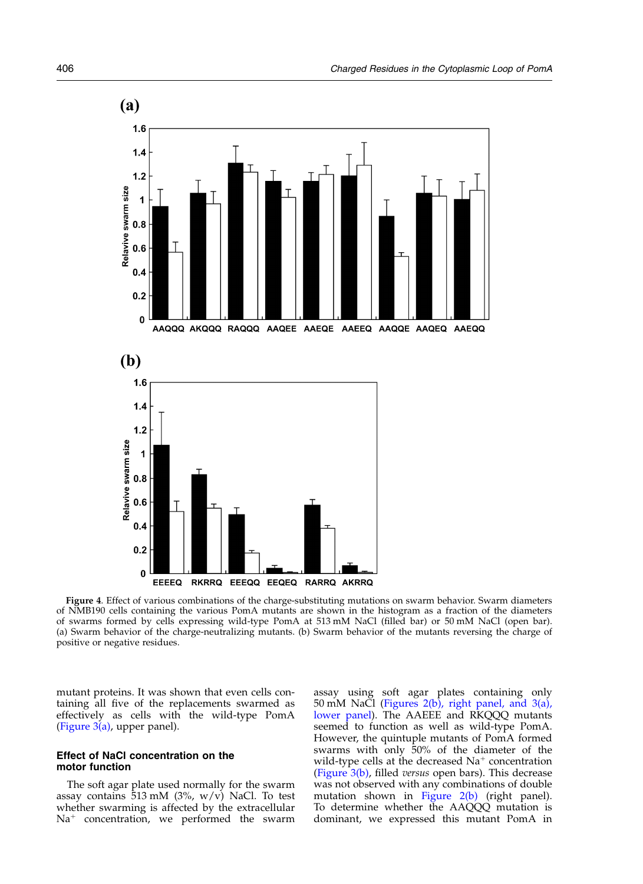<span id="page-3-0"></span>

Figure 4. Effect of various combinations of the charge-substituting mutations on swarm behavior. Swarm diameters of NMB190 cells containing the various PomA mutants are shown in the histogram as a fraction of the diameters of swarms formed by cells expressing wild-type PomA at 513 mM NaCl (filled bar) or 50 mM NaCl (open bar). (a) Swarm behavior of the charge-neutralizing mutants. (b) Swarm behavior of the mutants reversing the charge of positive or negative residues.

mutant proteins. It was shown that even cells containing all five of the replacements swarmed as effectively as cells with the wild-type PomA (Figure  $3(a)$ , upper panel).

# Effect of NaCl concentration on the motor function

The soft agar plate used normally for the swarm assay contains  $\overline{5}13$  mM (3%, w/v) NaCl. To test whether swarming is affected by the extracellular  $Na<sup>+</sup>$  concentration, we performed the swarm

assay using soft agar plates containing only 50 mM NaCl ([Figures 2\(b\), right panel, and 3\(a\),](#page-1-0) [lower panel\)](#page-1-0). The AAEEE and RKQQQ mutants seemed to function as well as wild-type PomA. However, the quintuple mutants of PomA formed swarms with only 50% of the diameter of the wild-type cells at the decreased  $Na<sup>+</sup>$  concentration [\(Figure 3\(b\)](#page-2-0), filled versus open bars). This decrease was not observed with any combinations of double mutation shown in [Figure 2\(b\)](#page-1-0) (right panel). To determine whether the AAQQQ mutation is dominant, we expressed this mutant PomA in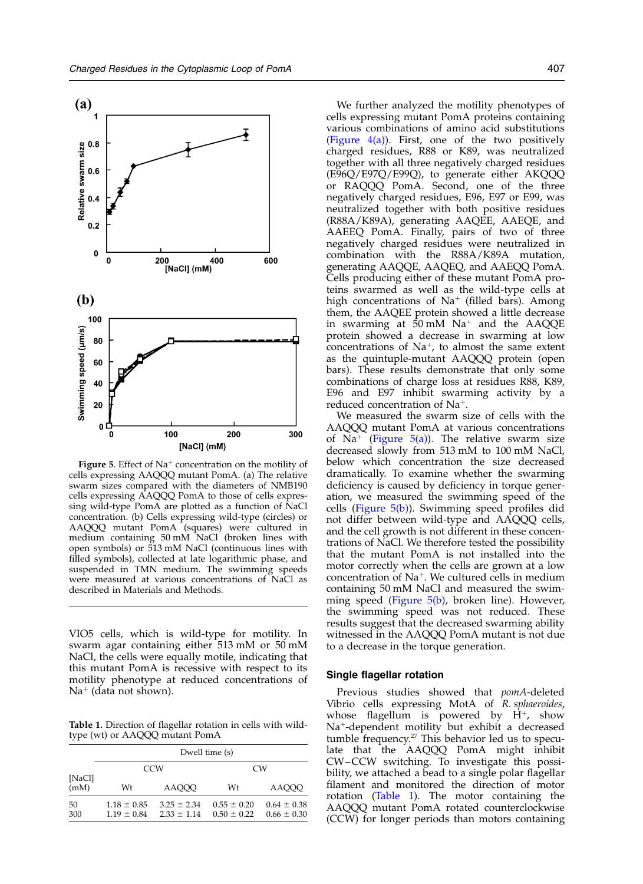

Figure 5. Effect of  $Na^+$  concentration on the motility of cells expressing AAQQQ mutant PomA. (a) The relative swarm sizes compared with the diameters of NMB190 cells expressing AAQQQ PomA to those of cells expressing wild-type PomA are plotted as a function of NaCl concentration. (b) Cells expressing wild-type (circles) or AAQQQ mutant PomA (squares) were cultured in medium containing 50 mM NaCl (broken lines with open symbols) or 513 mM NaCl (continuous lines with filled symbols), collected at late logarithmic phase, and suspended in TMN medium. The swimming speeds were measured at various concentrations of NaCl as described in Materials and Methods.

VIO5 cells, which is wild-type for motility. In swarm agar containing either 513 mM or 50 mM NaCl, the cells were equally motile, indicating that this mutant PomA is recessive with respect to its motility phenotype at reduced concentrations of  $Na<sup>+</sup>$  (data not shown).

Table 1. Direction of flagellar rotation in cells with wildtype (wt) or AAQQQ mutant PomA

|                | Dwell time (s)                     |                                    |                                    |                                    |
|----------------|------------------------------------|------------------------------------|------------------------------------|------------------------------------|
| [NaCl]<br>(mM) | CCW                                |                                    | CW <sub></sub>                     |                                    |
|                | Wt                                 | AAOOO                              | Wt                                 | AAOOO                              |
| 50<br>300      | $1.18 \pm 0.85$<br>$1.19 \pm 0.84$ | $3.25 \pm 2.34$<br>$2.33 \pm 1.14$ | $0.55 \pm 0.20$<br>$0.50 \pm 0.22$ | $0.64 \pm 0.38$<br>$0.66 \pm 0.30$ |

We further analyzed the motility phenotypes of cells expressing mutant PomA proteins containing various combinations of amino acid substitutions (Figure  $4(a)$ ). First, one of the two positively charged residues, R88 or K89, was neutralized together with all three negatively charged residues (E96Q/E97Q/E99Q), to generate either AKQQQ or RAQQQ PomA. Second, one of the three negatively charged residues, E96, E97 or E99, was neutralized together with both positive residues (R88A/K89A), generating AAQEE, AAEQE, and AAEEQ PomA. Finally, pairs of two of three negatively charged residues were neutralized in combination with the R88A/K89A mutation, generating AAQQE, AAQEQ, and AAEQQ PomA. Cells producing either of these mutant PomA proteins swarmed as well as the wild-type cells at high concentrations of  $Na^+$  (filled bars). Among them, the AAQEE protein showed a little decrease in swarming at  $50 \text{ mM }$  Na<sup>+</sup> and the AAQQE protein showed a decrease in swarming at low concentrations of  $Na^+$ , to almost the same extent as the quintuple-mutant AAQQQ protein (open bars). These results demonstrate that only some combinations of charge loss at residues R88, K89, E96 and E97 inhibit swarming activity by a reduced concentration of  $Na<sup>+</sup>$ .

We measured the swarm size of cells with the AAQQQ mutant PomA at various concentrations of Na<sup>+</sup> (Figure 5(a)). The relative swarm size decreased slowly from 513 mM to 100 mM NaCl, below which concentration the size decreased dramatically. To examine whether the swarming deficiency is caused by deficiency in torque generation, we measured the swimming speed of the cells (Figure 5(b)). Swimming speed profiles did not differ between wild-type and AAQQQ cells, and the cell growth is not different in these concentrations of NaCl. We therefore tested the possibility that the mutant PomA is not installed into the motor correctly when the cells are grown at a low concentration of  $Na^+$ . We cultured cells in medium containing 50 mM NaCl and measured the swimming speed (Figure 5(b), broken line). However, the swimming speed was not reduced. These results suggest that the decreased swarming ability witnessed in the AAQQQ PomA mutant is not due to a decrease in the torque generation.

#### Single flagellar rotation

Previous studies showed that pomA-deleted Vibrio cells expressing MotA of R. sphaeroides, whose flagellum is powered by  $H^+$ , show  $Na<sup>+</sup>$ -dependent motility but exhibit a decreased tumble frequency.<sup>[27](#page-9-0)</sup> This behavior led us to speculate that the AAQQQ PomA might inhibit CW–CCW switching. To investigate this possibility, we attached a bead to a single polar flagellar filament and monitored the direction of motor rotation (Table 1). The motor containing the AAQQQ mutant PomA rotated counterclockwise (CCW) for longer periods than motors containing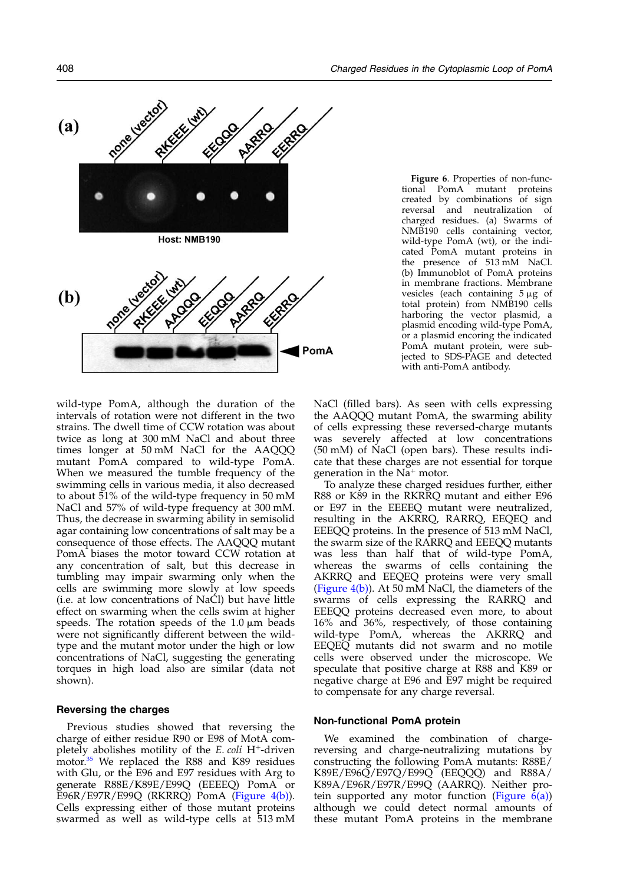<span id="page-5-0"></span>

Figure 6. Properties of non-functional PomA mutant proteins created by combinations of sign reversal and neutralization of charged residues. (a) Swarms of NMB190 cells containing vector, wild-type PomA (wt), or the indicated PomA mutant proteins in the presence of 513 mM NaCl. (b) Immunoblot of PomA proteins in membrane fractions. Membrane vesicles (each containing  $5 \mu$ g of total protein) from NMB190 cells harboring the vector plasmid, a plasmid encoding wild-type PomA, or a plasmid encoring the indicated PomA mutant protein, were subjected to SDS-PAGE and detected with anti-PomA antibody.

wild-type PomA, although the duration of the intervals of rotation were not different in the two strains. The dwell time of CCW rotation was about twice as long at 300 mM NaCl and about three times longer at 50 mM NaCl for the AAQQQ mutant PomA compared to wild-type PomA. When we measured the tumble frequency of the swimming cells in various media, it also decreased to about 51% of the wild-type frequency in 50 mM NaCl and 57% of wild-type frequency at 300 mM. Thus, the decrease in swarming ability in semisolid agar containing low concentrations of salt may be a consequence of those effects. The AAQQQ mutant PomA biases the motor toward CCW rotation at any concentration of salt, but this decrease in tumbling may impair swarming only when the cells are swimming more slowly at low speeds (i.e. at low concentrations of NaCl) but have little effect on swarming when the cells swim at higher speeds. The rotation speeds of the  $1.0 \mu m$  beads were not significantly different between the wildtype and the mutant motor under the high or low concentrations of NaCl, suggesting the generating torques in high load also are similar (data not shown).

#### Reversing the charges

Previous studies showed that reversing the charge of either residue R90 or E98 of MotA completely abolishes motility of the  $E.$  coli H<sup>+</sup>-driven motor.<sup>[35](#page-9-0)</sup> We replaced the R88 and K89 residues with Glu, or the E96 and E97 residues with Arg to generate R88E/K89E/E99Q (EEEEQ) PomA or E96R/E97R/E99Q (RKRRQ) PomA [\(Figure 4\(b\)](#page-3-0)). Cells expressing either of those mutant proteins swarmed as well as wild-type cells at 513 mM NaCl (filled bars). As seen with cells expressing the AAQQQ mutant PomA, the swarming ability of cells expressing these reversed-charge mutants was severely affected at low concentrations (50 mM) of NaCl (open bars). These results indicate that these charges are not essential for torque generation in the  $Na^+$  motor.

To analyze these charged residues further, either R88 or K89 in the RKRRQ mutant and either E96 or E97 in the EEEEQ mutant were neutralized, resulting in the AKRRQ, RARRQ, EEQEQ and EEEQQ proteins. In the presence of 513 mM NaCl, the swarm size of the RARRQ and EEEQQ mutants was less than half that of wild-type PomA, whereas the swarms of cells containing the AKRRQ and EEQEQ proteins were very small [\(Figure 4\(b\)\)](#page-3-0). At 50 mM NaCl, the diameters of the swarms of cells expressing the RARRQ and EEEQQ proteins decreased even more, to about 16% and 36%, respectively, of those containing wild-type PomA, whereas the AKRRQ and EEQEQ mutants did not swarm and no motile cells were observed under the microscope. We speculate that positive charge at R88 and K89 or negative charge at E96 and E97 might be required to compensate for any charge reversal.

#### Non-functional PomA protein

We examined the combination of chargereversing and charge-neutralizing mutations by constructing the following PomA mutants: R88E/ K89E/E96Q / E97Q / E99Q (EEQQQ) and R88A/ K89A/E96R/E97R/E99Q (AARRQ). Neither protein supported any motor function (Figure  $\vec{6}$ (a)) although we could detect normal amounts of these mutant PomA proteins in the membrane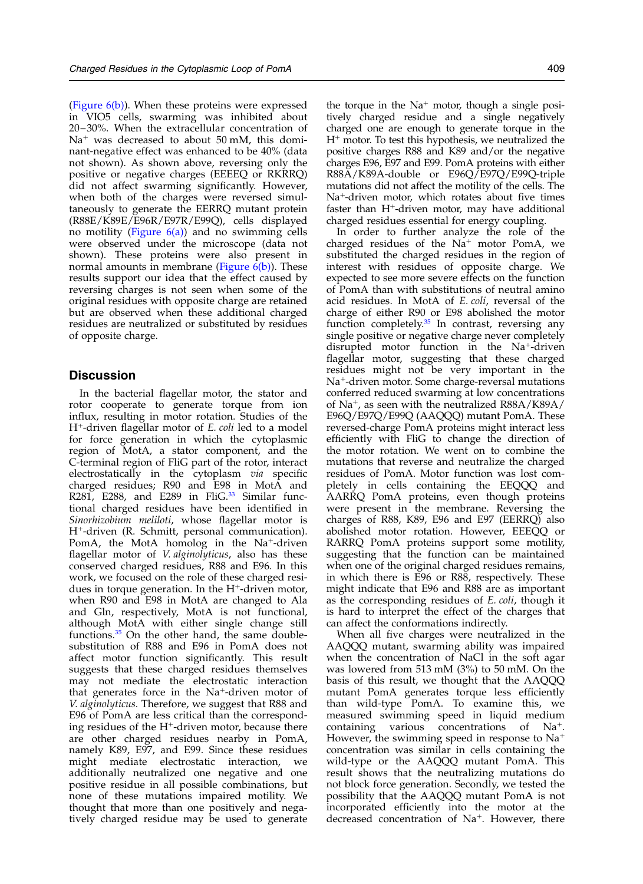[\(Figure 6\(b\)](#page-5-0)). When these proteins were expressed in VIO5 cells, swarming was inhibited about 20–30%. When the extracellular concentration of  $Na<sup>+</sup>$  was decreased to about 50 mM, this dominant-negative effect was enhanced to be 40% (data not shown). As shown above, reversing only the positive or negative charges (EEEEQ or RKRRQ) did not affect swarming significantly. However, when both of the charges were reversed simultaneously to generate the EERRQ mutant protein (R88E/K89E/E96R/E97R/E99Q), cells displayed no motility (Figure  $6(a)$ ) and no swimming cells were observed under the microscope (data not shown). These proteins were also present in normal amounts in membrane (Figure  $6(b)$ ). These results support our idea that the effect caused by reversing charges is not seen when some of the original residues with opposite charge are retained but are observed when these additional charged residues are neutralized or substituted by residues of opposite charge.

# **Discussion**

In the bacterial flagellar motor, the stator and rotor cooperate to generate torque from ion influx, resulting in motor rotation. Studies of the  $H^+$ -driven flagellar motor of  $E$ . coli led to a model for force generation in which the cytoplasmic region of MotA, a stator component, and the C-terminal region of FliG part of the rotor, interact electrostatically in the cytoplasm via specific charged residues; R90 and E98 in MotA and R281, E288, and E289 in FliG. $33$  Similar functional charged residues have been identified in Sinorhizobium meliloti, whose flagellar motor is H<sup>+</sup>-driven (R. Schmitt, personal communication). PomA, the MotA homolog in the Na<sup>+</sup>-driven flagellar motor of *V. alginolyticus*, also has these conserved charged residues, R88 and E96. In this work, we focused on the role of these charged residues in torque generation. In the  $H^+$ -driven motor, when R90 and E98 in MotA are changed to Ala and Gln, respectively, MotA is not functional, although MotA with either single change still functions. $35$  On the other hand, the same doublesubstitution of R88 and E96 in PomA does not affect motor function significantly. This result suggests that these charged residues themselves may not mediate the electrostatic interaction that generates force in the  $Na<sup>+</sup>$ -driven motor of V. alginolyticus. Therefore, we suggest that R88 and E96 of PomA are less critical than the corresponding residues of the  $H^+$ -driven motor, because there are other charged residues nearby in PomA, namely K89, E97, and E99. Since these residues might mediate electrostatic interaction, we additionally neutralized one negative and one positive residue in all possible combinations, but none of these mutations impaired motility. We thought that more than one positively and negatively charged residue may be used to generate

the torque in the  $Na^+$  motor, though a single positively charged residue and a single negatively charged one are enough to generate torque in the  $H<sup>+</sup>$  motor. To test this hypothesis, we neutralized the positive charges R88 and K89 and/or the negative charges E96, E97 and E99. PomA proteins with either R88A/K89A-double or E96Q/E97Q/E99Q-triple mutations did not affect the motility of the cells. The Na<sup>+</sup>-driven motor, which rotates about five times faster than  $H^+$ -driven motor, may have additional charged residues essential for energy coupling.

In order to further analyze the role of the charged residues of the  $Na<sup>+</sup>$  motor PomA, we substituted the charged residues in the region of interest with residues of opposite charge. We expected to see more severe effects on the function of PomA than with substitutions of neutral amino acid residues. In MotA of E. coli, reversal of the charge of either R90 or E98 abolished the motor function completely. $35$  In contrast, reversing any single positive or negative charge never completely disrupted motor function in the  $Na^+$ -driven flagellar motor, suggesting that these charged residues might not be very important in the  $Na<sup>+</sup>$ -driven motor. Some charge-reversal mutations conferred reduced swarming at low concentrations of Na<sup>+</sup>, as seen with the neutralized R88A/K89A/ E96Q/E97Q/E99Q (AAQQQ) mutant PomA. These reversed-charge PomA proteins might interact less efficiently with FliG to change the direction of the motor rotation. We went on to combine the mutations that reverse and neutralize the charged residues of PomA. Motor function was lost completely in cells containing the EEQQQ and AARRQ PomA proteins, even though proteins were present in the membrane. Reversing the charges of R88, K89, E96 and E97 (EERRQ) also abolished motor rotation. However, EEEQQ or RARRQ PomA proteins support some motility, suggesting that the function can be maintained when one of the original charged residues remains, in which there is E96 or R88, respectively. These might indicate that E96 and R88 are as important as the corresponding residues of E. coli, though it is hard to interpret the effect of the charges that can affect the conformations indirectly.

When all five charges were neutralized in the AAQQQ mutant, swarming ability was impaired when the concentration of NaCl in the soft agar was lowered from 513 mM (3%) to 50 mM. On the basis of this result, we thought that the AAQQQ mutant PomA generates torque less efficiently than wild-type PomA. To examine this, we measured swimming speed in liquid medium containing various concentrations of Na<sup>+</sup>. However, the swimming speed in response to  $Na<sup>+</sup>$ concentration was similar in cells containing the wild-type or the AAQQQ mutant PomA. This result shows that the neutralizing mutations do not block force generation. Secondly, we tested the possibility that the AAQQQ mutant PomA is not incorporated efficiently into the motor at the decreased concentration of Na<sup>+</sup>. However, there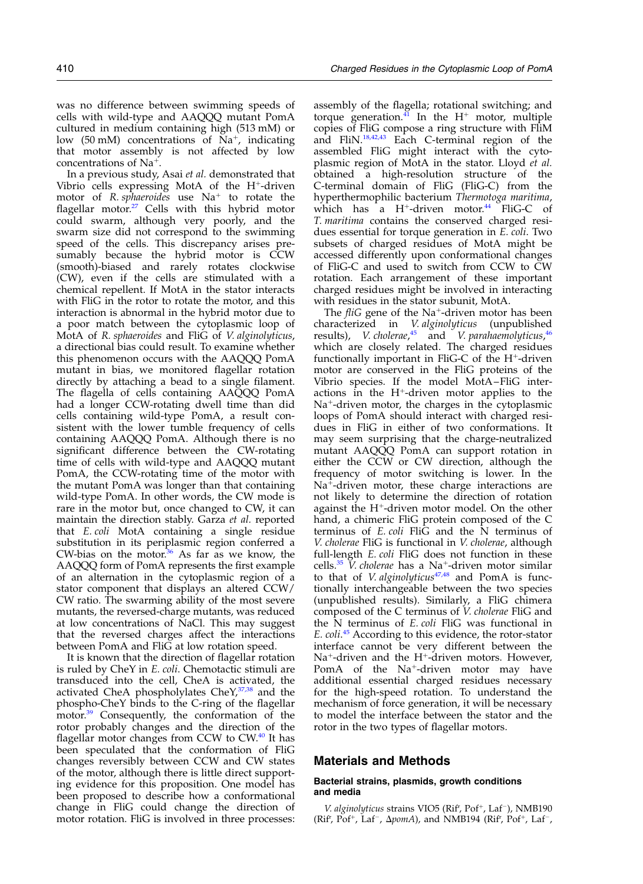was no difference between swimming speeds of cells with wild-type and AAQQQ mutant PomA cultured in medium containing high (513 mM) or low (50 mM) concentrations of  $Na^+$ , indicating that motor assembly is not affected by low concentrations of  $Na<sup>+</sup>$ .

In a previous study, Asai et al. demonstrated that Vibrio cells expressing MotA of the H<sup>+</sup>-driven motor of R. sphaeroides use  $Na<sup>+</sup>$  to rotate the flagellar motor. $27$  Cells with this hybrid motor could swarm, although very poorly, and the swarm size did not correspond to the swimming speed of the cells. This discrepancy arises presumably because the hybrid motor is CCW (smooth)-biased and rarely rotates clockwise (CW), even if the cells are stimulated with a chemical repellent. If MotA in the stator interacts with FliG in the rotor to rotate the motor, and this interaction is abnormal in the hybrid motor due to a poor match between the cytoplasmic loop of MotA of R. sphaeroides and FliG of V. alginolyticus, a directional bias could result. To examine whether this phenomenon occurs with the AAQQQ PomA mutant in bias, we monitored flagellar rotation directly by attaching a bead to a single filament. The flagella of cells containing AAQQQ PomA had a longer CCW-rotating dwell time than did cells containing wild-type PomA, a result consistent with the lower tumble frequency of cells containing AAQQQ PomA. Although there is no significant difference between the CW-rotating time of cells with wild-type and AAQQQ mutant PomA, the CCW-rotating time of the motor with the mutant PomA was longer than that containing wild-type PomA. In other words, the CW mode is rare in the motor but, once changed to CW, it can maintain the direction stably. Garza et al. reported that E. coli MotA containing a single residue substitution in its periplasmic region conferred a CW-bias on the motor. $36$  As far as we know, the AAQQQ form of PomA represents the first example of an alternation in the cytoplasmic region of a stator component that displays an altered CCW/ CW ratio. The swarming ability of the most severe mutants, the reversed-charge mutants, was reduced at low concentrations of NaCl. This may suggest that the reversed charges affect the interactions between PomA and FliG at low rotation speed.

It is known that the direction of flagellar rotation is ruled by CheY in E. coli. Chemotactic stimuli are transduced into the cell, CheA is activated, the activated CheA phospholylates CheY,<sup>[37,38](#page-9-0)</sup> and the phospho-CheY binds to the C-ring of the flagellar motor.<sup>[39](#page-9-0)</sup> Consequently, the conformation of the rotor probably changes and the direction of the flagellar motor changes from CCW to  $CW$ .<sup>[40](#page-9-0)</sup> It has been speculated that the conformation of FliG changes reversibly between CCW and CW states of the motor, although there is little direct supporting evidence for this proposition. One model has been proposed to describe how a conformational change in FliG could change the direction of motor rotation. FliG is involved in three processes:

assembly of the flagella; rotational switching; and torque generation. $\frac{41}{11}$  $\frac{41}{11}$  $\frac{41}{11}$  In the H<sup>+</sup> motor, multiple copies of FliG compose a ring structure with FliM and FliN.[18,42,43](#page-9-0) Each C-terminal region of the assembled FliG might interact with the cytoplasmic region of MotA in the stator. Lloyd et al. obtained a high-resolution structure of the C-terminal domain of FliG (FliG-C) from the hyperthermophilic bacterium Thermotoga maritima, which has a  $H^+$ -driven motor.<sup>[44](#page-9-0)</sup> FliG-C of T. maritima contains the conserved charged residues essential for torque generation in E. coli. Two subsets of charged residues of MotA might be accessed differently upon conformational changes of FliG-C and used to switch from CCW to CW rotation. Each arrangement of these important charged residues might be involved in interacting with residues in the stator subunit, MotA.

The  $fliG$  gene of the Na<sup>+</sup>-driven motor has been characterized in V. alginolyticus (unpublished results), *V. cholerae*,<sup>[45](#page-9-0)</sup> and *V. parahaemolyticus*,<sup>[46](#page-9-0)</sup> which are closely related. The charged residues functionally important in FliG-C of the  $H^+$ -driven motor are conserved in the FliG proteins of the Vibrio species. If the model MotA–FliG interactions in the  $H^+$ -driven motor applies to the  $Na<sup>+</sup>$ -driven motor, the charges in the cytoplasmic loops of PomA should interact with charged residues in FliG in either of two conformations. It may seem surprising that the charge-neutralized mutant AAQQQ PomA can support rotation in either the CCW or CW direction, although the frequency of motor switching is lower. In the  $Na<sup>+</sup>$ -driven motor, these charge interactions are not likely to determine the direction of rotation against the  $H^+$ -driven motor model. On the other hand, a chimeric FliG protein composed of the C terminus of  $E$ . *coli* Fli $\overline{G}$  and the  $\overline{N}$  terminus of V. cholerae FliG is functional in V. cholerae, although full-length E. coli FliG does not function in these cells.<sup>[35](#page-9-0)</sup> V. cholerae has a Na<sup>+</sup>-driven motor similar to that of *V. alginolyticus* $47,48$  and PomA is functionally interchangeable between the two species (unpublished results). Similarly, a FliG chimera composed of the C terminus of V. cholerae FliG and the N terminus of E. coli FliG was functional in E. coli.<sup>[45](#page-9-0)</sup> According to this evidence, the rotor-stator interface cannot be very different between the  $Na^+$ -driven and the H<sup>+</sup>-driven motors. However, PomA of the Na<sup>+</sup>-driven motor may have additional essential charged residues necessary for the high-speed rotation. To understand the mechanism of force generation, it will be necessary to model the interface between the stator and the rotor in the two types of flagellar motors.

## Materials and Methods

#### Bacterial strains, plasmids, growth conditions and media

V. alginolyticus strains VIO5 (Rif', Pof<sup>+</sup>, Laf<sup>-</sup>), NMB190 (Rif<sup>r</sup>, Pof<sup>+</sup>, Laf<sup>-</sup>,  $\Delta$ *pomA*), and NMB194 (Rif<sup>r</sup>, Pof<sup>+</sup>, Laf<sup>-</sup>,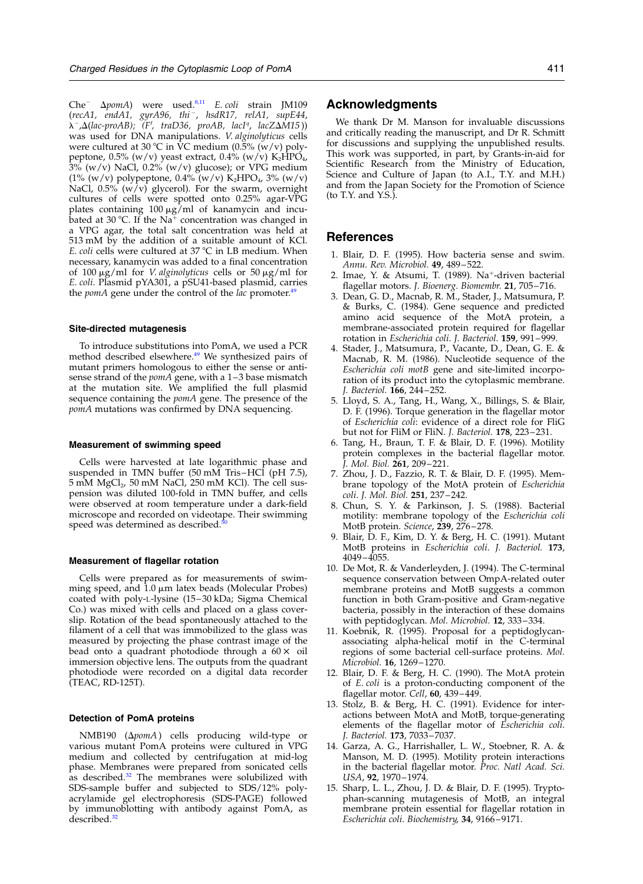<span id="page-8-0"></span>Che<sup>-</sup>  $\Delta p$ omA) were used.<sup>8,11</sup> E. coli strain JM109 ( $recA1$ ,  $endA1$ ,  $gyrA96$ ,  $thi^-$ ,  $hsdR17$ ,  $relA1$ ,  $supE44$ ,  $\lambda^-$ , $\Delta$ (lac-proAB); (F', traD36, proAB, lacI<sup>q</sup>, lacZ $\Delta M$ 15)) was used for DNA manipulations. V. alginolyticus cells were cultured at 30 °C in  $\rm \tilde{V}C$  medium (0.5% (w/v) polypeptone, 0.5% (w/v) yeast extract, 0.4% (w/v)  $K_2HPO_4$ ,  $3\%$  (w/v) NaCl, 0.2% (w/v) glucose); or VPG medium (1% (w/v) polypeptone,  $0.4\%$  (w/v) K<sub>2</sub>HPO<sub>4</sub>, 3% (w/v) NaCl,  $0.5\%$  (w/v) glycerol). For the swarm, overnight cultures of cells were spotted onto 0.25% agar-VPG plates containing  $100 \mu g$ /ml of kanamycin and incubated at 30 °C. If the Na<sup>+</sup> concentration was changed in a VPG agar, the total salt concentration was held at 513 mM by the addition of a suitable amount of KCl. E. coli cells were cultured at  $37^{\circ}$ C in LB medium. When necessary, kanamycin was added to a final concentration of 100  $\mu$ g/ml for *V. alginolyticus* cells or 50  $\mu$ g/ml for E. coli. Plasmid pYA301, a pSU41-based plasmid, carries the *pomA* gene under the control of the *lac* promoter.<sup>[49](#page-10-0)</sup>

#### Site-directed mutagenesis

To introduce substitutions into PomA, we used a PCR method described elsewhere.<sup>[49](#page-10-0)</sup> We synthesized pairs of mutant primers homologous to either the sense or antisense strand of the  $pomA$  gene, with a  $1-3$  base mismatch at the mutation site. We amplified the full plasmid sequence containing the *pomA* gene. The presence of the pomA mutations was confirmed by DNA sequencing.

#### Measurement of swimming speed

Cells were harvested at late logarithmic phase and suspended in TMN buffer (50 mM Tris–HCl (pH 7.5), 5 mM MgCl<sub>2</sub>, 50 mM NaCl, 250 mM KCl). The cell suspension was diluted 100-fold in TMN buffer, and cells were observed at room temperature under a dark-field microscope and recorded on videotape. Their swimming speed was determined as described.<sup>5</sup>

#### Measurement of flagellar rotation

Cells were prepared as for measurements of swimming speed, and  $1.0 \mu m$  latex beads (Molecular Probes) coated with poly-L-lysine (15–30 kDa; Sigma Chemical Co.) was mixed with cells and placed on a glass coverslip. Rotation of the bead spontaneously attached to the filament of a cell that was immobilized to the glass was measured by projecting the phase contrast image of the bead onto a quadrant photodiode through a  $60 \times$  oil immersion objective lens. The outputs from the quadrant photodiode were recorded on a digital data recorder (TEAC, RD-125T).

#### Detection of PomA proteins

NMB190 ( $\Delta p$ omA) cells producing wild-type or various mutant PomA proteins were cultured in VPG medium and collected by centrifugation at mid-log phase. Membranes were prepared from sonicated cells as described. $32$  The membranes were solubilized with SDS-sample buffer and subjected to SDS/12% polyacrylamide gel electrophoresis (SDS-PAGE) followed by immunoblotting with antibody against PomA, as described.<sup>3</sup>

# Acknowledgments

We thank Dr M. Manson for invaluable discussions and critically reading the manuscript, and Dr R. Schmitt for discussions and supplying the unpublished results. This work was supported, in part, by Grants-in-aid for Scientific Research from the Ministry of Education, Science and Culture of Japan (to A.I., T.Y. and M.H.) and from the Japan Society for the Promotion of Science (to T.Y. and Y.S.).

# **References**

- 1. Blair, D. F. (1995). How bacteria sense and swim. Annu. Rev. Microbiol. 49, 489–522.
- 2. Imae, Y. & Atsumi, T. (1989). Na<sup>+</sup>-driven bacterial flagellar motors. J. Bioenerg. Biomembr. 21, 705-716.
- 3. Dean, G. D., Macnab, R. M., Stader, J., Matsumura, P. & Burks, C. (1984). Gene sequence and predicted amino acid sequence of the MotA protein, a membrane-associated protein required for flagellar rotation in Escherichia coli. J. Bacteriol. 159, 991–999.
- 4. Stader, J., Matsumura, P., Vacante, D., Dean, G. E. & Macnab, R. M. (1986). Nucleotide sequence of the Escherichia coli motB gene and site-limited incorporation of its product into the cytoplasmic membrane. J. Bacteriol. 166, 244–252.
- 5. Lloyd, S. A., Tang, H., Wang, X., Billings, S. & Blair, D. F. (1996). Torque generation in the flagellar motor of Escherichia coli: evidence of a direct role for FliG but not for FliM or FliN. J. Bacteriol. 178, 223–231.
- 6. Tang, H., Braun, T. F. & Blair, D. F. (1996). Motility protein complexes in the bacterial flagellar motor. J. Mol. Biol. 261, 209–221.
- 7. Zhou, J. D., Fazzio, R. T. & Blair, D. F. (1995). Membrane topology of the MotA protein of Escherichia coli. J. Mol. Biol. 251, 237–242.
- 8. Chun, S. Y. & Parkinson, J. S. (1988). Bacterial motility: membrane topology of the Escherichia coli MotB protein. Science, 239, 276–278.
- 9. Blair, D. F., Kim, D. Y. & Berg, H. C. (1991). Mutant MotB proteins in Escherichia coli. J. Bacteriol. 173, 4049–4055.
- 10. De Mot, R. & Vanderleyden, J. (1994). The C-terminal sequence conservation between OmpA-related outer membrane proteins and MotB suggests a common function in both Gram-positive and Gram-negative bacteria, possibly in the interaction of these domains with peptidoglycan. Mol. Microbiol. 12, 333–334.
- 11. Koebnik, R. (1995). Proposal for a peptidoglycanassociating alpha-helical motif in the C-terminal regions of some bacterial cell-surface proteins. Mol. Microbiol. 16, 1269–1270.
- 12. Blair, D. F. & Berg, H. C. (1990). The MotA protein of E. coli is a proton-conducting component of the flagellar motor. Cell, 60, 439-449.
- 13. Stolz, B. & Berg, H. C. (1991). Evidence for interactions between MotA and MotB, torque-generating elements of the flagellar motor of Escherichia coli. J. Bacteriol. 173, 7033–7037.
- 14. Garza, A. G., Harrishaller, L. W., Stoebner, R. A. & Manson, M. D. (1995). Motility protein interactions in the bacterial flagellar motor. Proc. Natl Acad. Sci. USA, 92, 1970–1974.
- 15. Sharp, L. L., Zhou, J. D. & Blair, D. F. (1995). Tryptophan-scanning mutagenesis of MotB, an integral membrane protein essential for flagellar rotation in Escherichia coli. Biochemistry, 34, 9166–9171.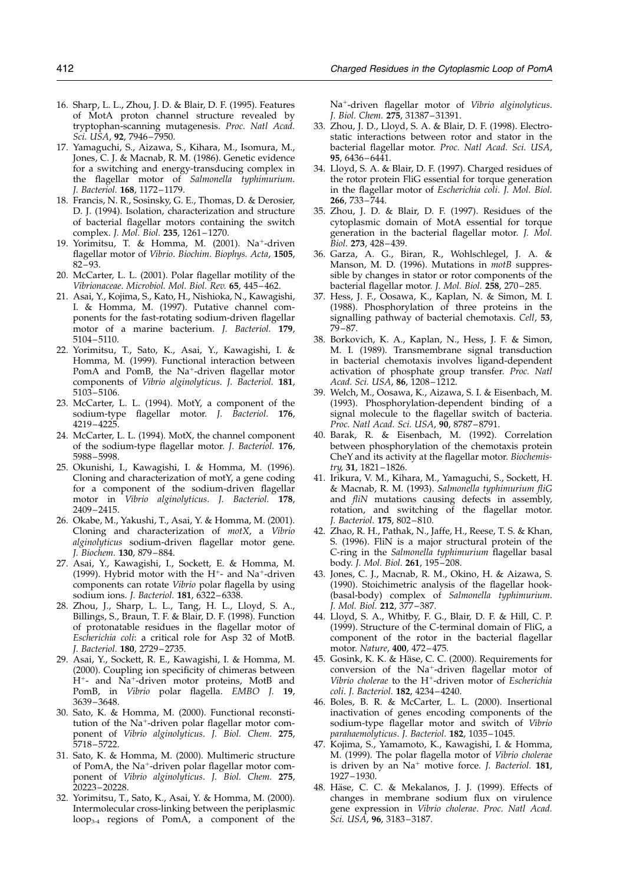- <span id="page-9-0"></span>16. Sharp, L. L., Zhou, J. D. & Blair, D. F. (1995). Features of MotA proton channel structure revealed by tryptophan-scanning mutagenesis. Proc. Natl Acad. Sci. USA, 92, 7946–7950.
- 17. Yamaguchi, S., Aizawa, S., Kihara, M., Isomura, M., Jones, C. J. & Macnab, R. M. (1986). Genetic evidence for a switching and energy-transducing complex in the flagellar motor of Salmonella typhimurium. J. Bacteriol. 168, 1172–1179.
- 18. Francis, N. R., Sosinsky, G. E., Thomas, D. & Derosier, D. J. (1994). Isolation, characterization and structure of bacterial flagellar motors containing the switch complex. J. Mol. Biol. 235, 1261–1270.
- 19. Yorimitsu, T. & Homma, M.  $(2001)$ . Na<sup>+</sup>-driven flagellar motor of Vibrio. Biochim. Biophys. Acta, 1505, 82–93.
- 20. McCarter, L. L. (2001). Polar flagellar motility of the Vibrionaceae. Microbiol. Mol. Biol. Rev. 65, 445–462.
- 21. Asai, Y., Kojima, S., Kato, H., Nishioka, N., Kawagishi, I. & Homma, M. (1997). Putative channel components for the fast-rotating sodium-driven flagellar motor of a marine bacterium. J. Bacteriol. 179, 5104–5110.
- 22. Yorimitsu, T., Sato, K., Asai, Y., Kawagishi, I. & Homma, M. (1999). Functional interaction between PomA and PomB, the Na<sup>+</sup>-driven flagellar motor components of Vibrio alginolyticus. J. Bacteriol. 181, 5103–5106.
- 23. McCarter, L. L. (1994). MotY, a component of the sodium-type flagellar motor. J. Bacteriol. 176, 4219–4225.
- 24. McCarter, L. L. (1994). MotX, the channel component of the sodium-type flagellar motor. J. Bacteriol. 176, 5988–5998.
- 25. Okunishi, I., Kawagishi, I. & Homma, M. (1996). Cloning and characterization of motY, a gene coding for a component of the sodium-driven flagellar motor in *Vibrio alginolyticus*. J. Bacteriol. 178, 2409–2415.
- 26. Okabe, M., Yakushi, T., Asai, Y. & Homma, M. (2001). Cloning and characterization of motX, a Vibrio alginolyticus sodium-driven flagellar motor gene. J. Biochem. 130, 879–884.
- 27. Asai, Y., Kawagishi, I., Sockett, E. & Homma, M. (1999). Hybrid motor with the  $H^+$ - and Na<sup>+</sup>-driven components can rotate Vibrio polar flagella by using sodium ions. J. Bacteriol. 181, 6322–6338.
- 28. Zhou, J., Sharp, L. L., Tang, H. L., Lloyd, S. A., Billings, S., Braun, T. F. & Blair, D. F. (1998). Function of protonatable residues in the flagellar motor of Escherichia coli: a critical role for Asp 32 of MotB. J. Bacteriol. 180, 2729–2735.
- 29. Asai, Y., Sockett, R. E., Kawagishi, I. & Homma, M. (2000). Coupling ion specificity of chimeras between H<sup>+</sup>- and Na<sup>+</sup>-driven motor proteins, MotB and PomB, in Vibrio polar flagella. EMBO J. 19, 3639–3648.
- 30. Sato, K. & Homma, M. (2000). Functional reconstitution of the Na<sup>+</sup>-driven polar flagellar motor component of Vibrio alginolyticus. J. Biol. Chem. 275, 5718–5722.
- 31. Sato, K. & Homma, M. (2000). Multimeric structure of PomA, the Na<sup>+</sup>-driven polar flagellar motor component of Vibrio alginolyticus. J. Biol. Chem. 275, 20223–20228.
- 32. Yorimitsu, T., Sato, K., Asai, Y. & Homma, M. (2000). Intermolecular cross-linking between the periplasmic loop3-4 regions of PomA, a component of the

Na<sup>+</sup>-driven flagellar motor of Vibrio alginolyticus. J. Biol. Chem. 275, 31387–31391.

- 33. Zhou, J. D., Lloyd, S. A. & Blair, D. F. (1998). Electrostatic interactions between rotor and stator in the bacterial flagellar motor. Proc. Natl Acad. Sci. USA, 95, 6436–6441.
- 34. Lloyd, S. A. & Blair, D. F. (1997). Charged residues of the rotor protein FliG essential for torque generation in the flagellar motor of Escherichia coli. J. Mol. Biol. 266, 733–744.
- 35. Zhou, J. D. & Blair, D. F. (1997). Residues of the cytoplasmic domain of MotA essential for torque generation in the bacterial flagellar motor. J. Mol. Biol. 273, 428–439.
- 36. Garza, A. G., Biran, R., Wohlschlegel, J. A. & Manson, M. D. (1996). Mutations in motB suppressible by changes in stator or rotor components of the bacterial flagellar motor. J. Mol. Biol. 258, 270–285.
- 37. Hess, J. F., Oosawa, K., Kaplan, N. & Simon, M. I. (1988). Phosphorylation of three proteins in the signalling pathway of bacterial chemotaxis. Cell, 53, 79–87.
- 38. Borkovich, K. A., Kaplan, N., Hess, J. F. & Simon, M. I. (1989). Transmembrane signal transduction in bacterial chemotaxis involves ligand-dependent activation of phosphate group transfer. Proc. Natl Acad. Sci. USA, 86, 1208–1212.
- 39. Welch, M., Oosawa, K., Aizawa, S. I. & Eisenbach, M. (1993). Phosphorylation-dependent binding of a signal molecule to the flagellar switch of bacteria. Proc. Natl Acad. Sci. USA, 90, 8787-8791.
- 40. Barak, R. & Eisenbach, M. (1992). Correlation between phosphorylation of the chemotaxis protein CheY and its activity at the flagellar motor. Biochemistry, 31, 1821–1826.
- 41. Irikura, V. M., Kihara, M., Yamaguchi, S., Sockett, H. & Macnab, R. M. (1993). Salmonella typhimurium fliG and fliN mutations causing defects in assembly, rotation, and switching of the flagellar motor. J. Bacteriol. 175, 802–810.
- 42. Zhao, R. H., Pathak, N., Jaffe, H., Reese, T. S. & Khan, S. (1996). FliN is a major structural protein of the C-ring in the Salmonella typhimurium flagellar basal body. J. Mol. Biol. 261, 195–208.
- 43. Jones, C. J., Macnab, R. M., Okino, H. & Aizawa, S. (1990). Stoichimetric analysis of the flagellar hook- (basal-body) complex of Salmonella typhimurium. J. Mol. Biol. 212, 377–387.
- 44. Lloyd, S. A., Whitby, F. G., Blair, D. F. & Hill, C. P. (1999). Structure of the C-terminal domain of FliG, a component of the rotor in the bacterial flagellar motor. Nature, 400, 472–475.
- 45. Gosink, K. K. & Häse, C. C. (2000). Requirements for conversion of the Na<sup>+</sup>-driven flagellar motor of Vibrio cholerae to the  $H^+$ -driven motor of Escherichia coli. J. Bacteriol. 182, 4234–4240.
- 46. Boles, B. R. & McCarter, L. L. (2000). Insertional inactivation of genes encoding components of the sodium-type flagellar motor and switch of Vibrio parahaemolyticus. J. Bacteriol. 182, 1035–1045.
- 47. Kojima, S., Yamamoto, K., Kawagishi, I. & Homma, M. (1999). The polar flagella motor of Vibrio cholerae is driven by an  $Na<sup>+</sup>$  motive force. *J. Bacteriol*. **181**, 1927–1930.
- 48. Häse, C. C. & Mekalanos, J. J. (1999). Effects of changes in membrane sodium flux on virulence gene expression in Vibrio cholerae. Proc. Natl Acad. Sci. USA, 96, 3183–3187.